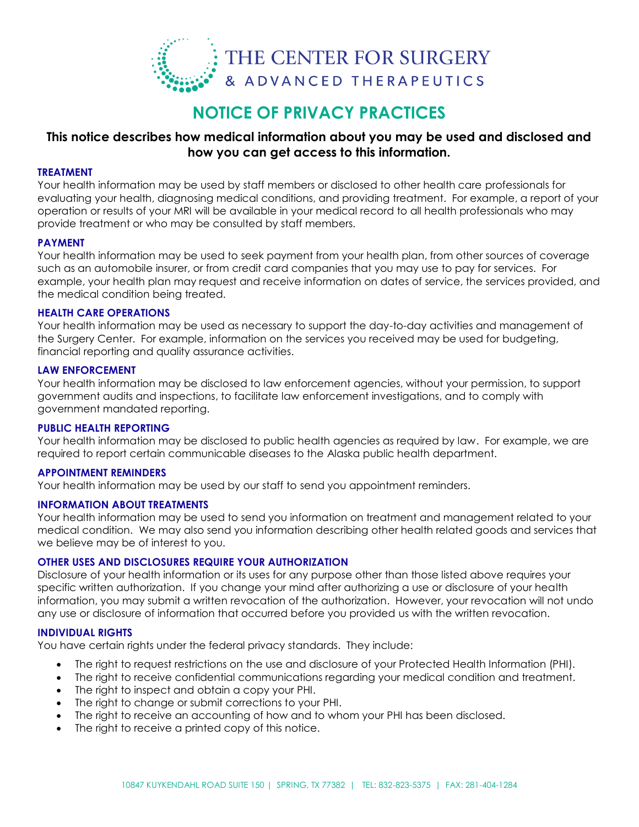

# **This notice describes how medical information about you may be used and disclosed and how you can get access to this information.**

### **TREATMENT**

Your health information may be used by staff members or disclosed to other health care professionals for evaluating your health, diagnosing medical conditions, and providing treatment. For example, a report of your operation or results of your MRI will be available in your medical record to all health professionals who may provide treatment or who may be consulted by staff members.

### **PAYMENT**

Your health information may be used to seek payment from your health plan, from other sources of coverage such as an automobile insurer, or from credit card companies that you may use to pay for services. For example, your health plan may request and receive information on dates of service, the services provided, and the medical condition being treated.

### **HEALTH CARE OPERATIONS**

Your health information may be used as necessary to support the day-to-day activities and management of the Surgery Center. For example, information on the services you received may be used for budgeting, financial reporting and quality assurance activities.

### **LAW ENFORCEMENT**

Your health information may be disclosed to law enforcement agencies, without your permission, to support government audits and inspections, to facilitate law enforcement investigations, and to comply with government mandated reporting.

### **PUBLIC HEALTH REPORTING**

Your health information may be disclosed to public health agencies as required by law. For example, we are required to report certain communicable diseases to the Alaska public health department.

### **APPOINTMENT REMINDERS**

Your health information may be used by our staff to send you appointment reminders.

### **INFORMATION ABOUT TREATMENTS**

Your health information may be used to send you information on treatment and management related to your medical condition. We may also send you information describing other health related goods and services that we believe may be of interest to you.

# **OTHER USES AND DISCLOSURES REQUIRE YOUR AUTHORIZATION**

Disclosure of your health information or its uses for any purpose other than those listed above requires your specific written authorization. If you change your mind after authorizing a use or disclosure of your health information, you may submit a written revocation of the authorization. However, your revocation will not undo any use or disclosure of information that occurred before you provided us with the written revocation.

### **INDIVIDUAL RIGHTS**

You have certain rights under the federal privacy standards. They include:

- The right to request restrictions on the use and disclosure of your Protected Health Information (PHI).
- The right to receive confidential communications regarding your medical condition and treatment.
- The right to inspect and obtain a copy your PHI.
- The right to change or submit corrections to your PHI.
- The right to receive an accounting of how and to whom your PHI has been disclosed.
- The right to receive a printed copy of this notice.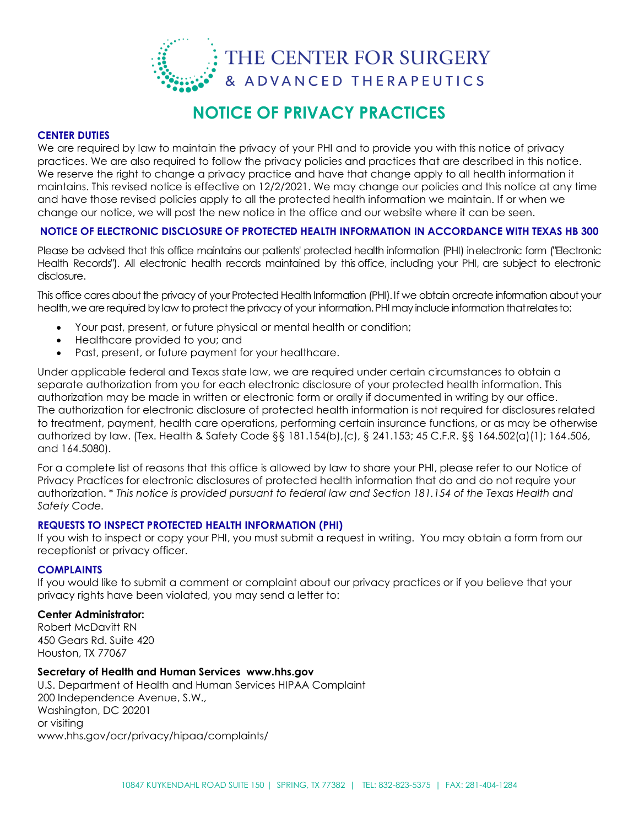

### **CENTER DUTIES**

We are required by law to maintain the privacy of your PHI and to provide you with this notice of privacy practices. We are also required to follow the privacy policies and practices that are described in this notice. We reserve the right to change a privacy practice and have that change apply to all health information it maintains. This revised notice is effective on 12/2/2021. We may change our policies and this notice at any time and have those revised policies apply to all the protected health information we maintain. If or when we change our notice, we will post the new notice in the office and our website where it can be seen.

# **NOTICE OF ELECTRONIC DISCLOSURE OF PROTECTED HEALTH INFORMATION IN ACCORDANCE WITH TEXAS HB 300**

Please be advised that this office maintains our patients' protected health information (PHI) inelectronic form ("Electronic Health Records"). All electronic health records maintained by this office, including your PHI, are subject to electronic disclosure.

This office cares about the privacy of your Protected Health Information (PHI).If we obtain orcreate information about your health, we are required by law to protect the privacy of your information. PHI may include information that relates to:

- Your past, present, or future physical or mental health or condition;
- Healthcare provided to you; and
- Past, present, or future payment for your healthcare.

Under applicable federal and Texas state law, we are required under certain circumstances to obtain a separate authorization from you for each electronic disclosure of your protected health information. This authorization may be made in written or electronic form or orally if documented in writing by our office. The authorization for electronic disclosure of protected health information is not required for disclosures related to treatment, payment, health care operations, performing certain insurance functions, or as may be otherwise authorized by law. (Tex. Health & Safety Code §§ 181.154(b),(c), § 241.153; 45 C.F.R. §§ 164.502(a)(1); 164.506, and 164.5080).

For a complete list of reasons that this office is allowed by law to share your PHI, please refer to our Notice of Privacy Practices for electronic disclosures of protected health information that do and do not require your authorization. \* *This notice is provided pursuant to federal law and Section 181.154 of the Texas Health and Safety Code.*

### **REQUESTS TO INSPECT PROTECTED HEALTH INFORMATION (PHI)**

If you wish to inspect or copy your PHI, you must submit a request in writing. You may obtain a form from our receptionist or privacy officer.

# **COMPLAINTS**

If you would like to submit a comment or complaint about our privacy practices or if you believe that your privacy rights have been violated, you may send a letter to:

### **Center Administrator:**

Robert McDavitt RN 450 Gears Rd. Suite 420 Houston, TX 77067

### **Secretary of Health and Human Services www.hhs.gov**

U.S. Department of Health and Human Services HIPAA Complaint 200 Independence Avenue, S.W., Washington, DC 20201 or visiting www.hhs.gov/ocr/privacy/hipaa/complaints/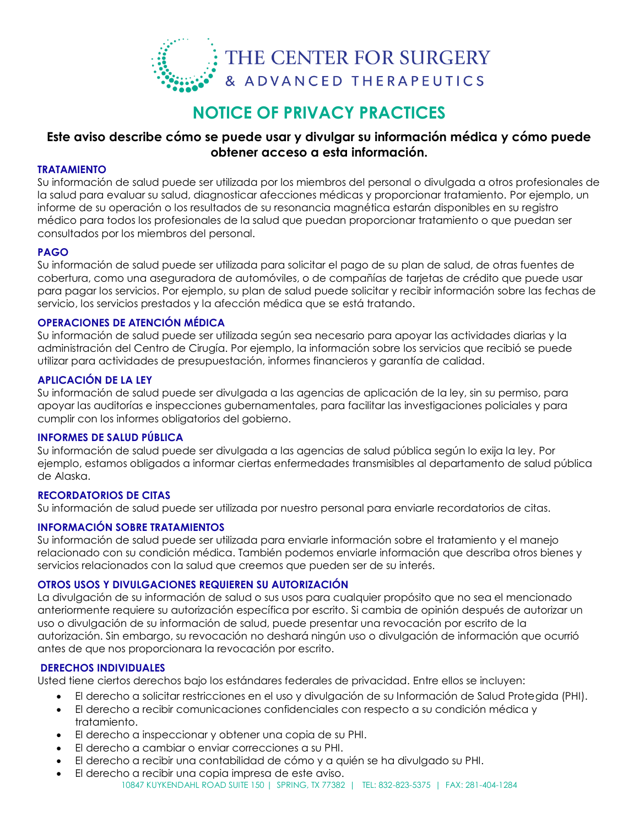

# **Este aviso describe cómo se puede usar y divulgar su información médica y cómo puede obtener acceso a esta información.**

# **TRATAMIENTO**

Su información de salud puede ser utilizada por los miembros del personal o divulgada a otros profesionales de la salud para evaluar su salud, diagnosticar afecciones médicas y proporcionar tratamiento. Por ejemplo, un informe de su operación o los resultados de su resonancia magnética estarán disponibles en su registro médico para todos los profesionales de la salud que puedan proporcionar tratamiento o que puedan ser consultados por los miembros del personal.

### **PAGO**

Su información de salud puede ser utilizada para solicitar el pago de su plan de salud, de otras fuentes de cobertura, como una aseguradora de automóviles, o de compañías de tarjetas de crédito que puede usar para pagar los servicios. Por ejemplo, su plan de salud puede solicitar y recibir información sobre las fechas de servicio, los servicios prestados y la afección médica que se está tratando.

# **OPERACIONES DE ATENCIÓN MÉDICA**

Su información de salud puede ser utilizada según sea necesario para apoyar las actividades diarias y la administración del Centro de Cirugía. Por ejemplo, la información sobre los servicios que recibió se puede utilizar para actividades de presupuestación, informes financieros y garantía de calidad.

# **APLICACIÓN DE LA LEY**

Su información de salud puede ser divulgada a las agencias de aplicación de la ley, sin su permiso, para apoyar las auditorías e inspecciones gubernamentales, para facilitar las investigaciones policiales y para cumplir con los informes obligatorios del gobierno.

## **INFORMES DE SALUD PÚBLICA**

Su información de salud puede ser divulgada a las agencias de salud pública según lo exija la ley. Por ejemplo, estamos obligados a informar ciertas enfermedades transmisibles al departamento de salud pública de Alaska.

# **RECORDATORIOS DE CITAS**

Su información de salud puede ser utilizada por nuestro personal para enviarle recordatorios de citas.

### **INFORMACIÓN SOBRE TRATAMIENTOS**

Su información de salud puede ser utilizada para enviarle información sobre el tratamiento y el manejo relacionado con su condición médica. También podemos enviarle información que describa otros bienes y servicios relacionados con la salud que creemos que pueden ser de su interés.

# **OTROS USOS Y DIVULGACIONES REQUIEREN SU AUTORIZACIÓN**

La divulgación de su información de salud o sus usos para cualquier propósito que no sea el mencionado anteriormente requiere su autorización específica por escrito. Si cambia de opinión después de autorizar un uso o divulgación de su información de salud, puede presentar una revocación por escrito de la autorización. Sin embargo, su revocación no deshará ningún uso o divulgación de información que ocurrió antes de que nos proporcionara la revocación por escrito.

### **DERECHOS INDIVIDUALES**

Usted tiene ciertos derechos bajo los estándares federales de privacidad. Entre ellos se incluyen:

- El derecho a solicitar restricciones en el uso y divulgación de su Información de Salud Protegida (PHI).
- El derecho a recibir comunicaciones confidenciales con respecto a su condición médica y tratamiento.
- El derecho a inspeccionar y obtener una copia de su PHI.
- El derecho a cambiar o enviar correcciones a su PHI.
- El derecho a recibir una contabilidad de cómo y a quién se ha divulgado su PHI.
- 10847 KUYKENDAHL ROAD SUITE 150 | SPRING, TX 77382 | TEL: 832-823-5375 | FAX: 281-404-1284 El derecho a recibir una copia impresa de este aviso.